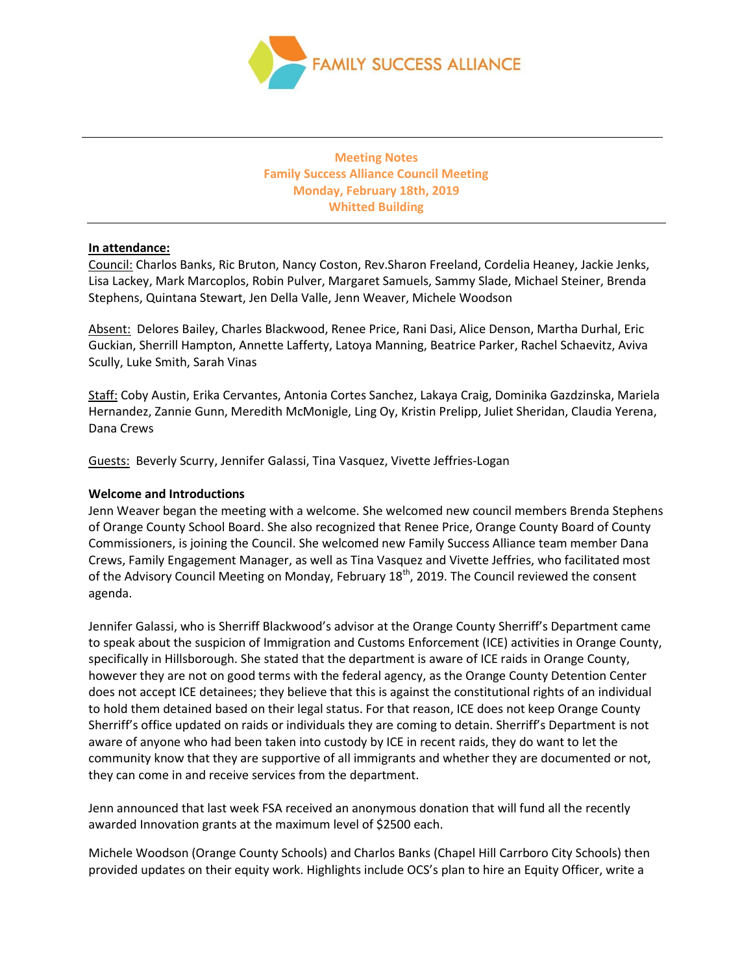

# **Meeting Notes Family Success Alliance Council Meeting Monday, February 18th, 2019 Whitted Building**

### **In attendance:**

Council: Charlos Banks, Ric Bruton, Nancy Coston, Rev.Sharon Freeland, Cordelia Heaney, Jackie Jenks, Lisa Lackey, Mark Marcoplos, Robin Pulver, Margaret Samuels, Sammy Slade, Michael Steiner, Brenda Stephens, Quintana Stewart, Jen Della Valle, Jenn Weaver, Michele Woodson

Absent: Delores Bailey, Charles Blackwood, Renee Price, Rani Dasi, Alice Denson, Martha Durhal, Eric Guckian, Sherrill Hampton, Annette Lafferty, Latoya Manning, Beatrice Parker, Rachel Schaevitz, Aviva Scully, Luke Smith, Sarah Vinas

Staff: Coby Austin, Erika Cervantes, Antonia Cortes Sanchez, Lakaya Craig, Dominika Gazdzinska, Mariela Hernandez, Zannie Gunn, Meredith McMonigle, Ling Oy, Kristin Prelipp, Juliet Sheridan, Claudia Yerena, Dana Crews

Guests: Beverly Scurry, Jennifer Galassi, Tina Vasquez, Vivette Jeffries-Logan

### **Welcome and Introductions**

Jenn Weaver began the meeting with a welcome. She welcomed new council members Brenda Stephens of Orange County School Board. She also recognized that Renee Price, Orange County Board of County Commissioners, is joining the Council. She welcomed new Family Success Alliance team member Dana Crews, Family Engagement Manager, as well as Tina Vasquez and Vivette Jeffries, who facilitated most of the Advisory Council Meeting on Monday, February 18<sup>th</sup>, 2019. The Council reviewed the consent agenda.

Jennifer Galassi, who is Sherriff Blackwood's advisor at the Orange County Sherriff's Department came to speak about the suspicion of Immigration and Customs Enforcement (ICE) activities in Orange County, specifically in Hillsborough. She stated that the department is aware of ICE raids in Orange County, however they are not on good terms with the federal agency, as the Orange County Detention Center does not accept ICE detainees; they believe that this is against the constitutional rights of an individual to hold them detained based on their legal status. For that reason, ICE does not keep Orange County Sherriff's office updated on raids or individuals they are coming to detain. Sherriff's Department is not aware of anyone who had been taken into custody by ICE in recent raids, they do want to let the community know that they are supportive of all immigrants and whether they are documented or not, they can come in and receive services from the department.

Jenn announced that last week FSA received an anonymous donation that will fund all the recently awarded Innovation grants at the maximum level of \$2500 each.

Michele Woodson (Orange County Schools) and Charlos Banks (Chapel Hill Carrboro City Schools) then provided updates on their equity work. Highlights include OCS's plan to hire an Equity Officer, write a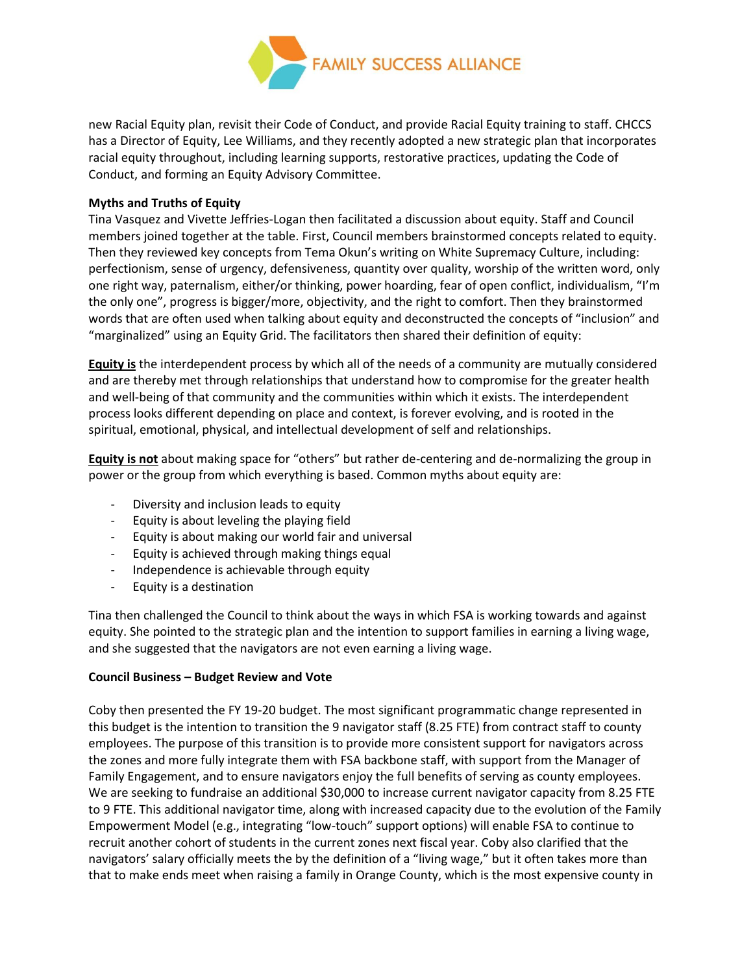

new Racial Equity plan, revisit their Code of Conduct, and provide Racial Equity training to staff. CHCCS has a Director of Equity, Lee Williams, and they recently adopted a new strategic plan that incorporates racial equity throughout, including learning supports, restorative practices, updating the Code of Conduct, and forming an Equity Advisory Committee.

## **Myths and Truths of Equity**

Tina Vasquez and Vivette Jeffries-Logan then facilitated a discussion about equity. Staff and Council members joined together at the table. First, Council members brainstormed concepts related to equity. Then they reviewed key concepts from Tema Okun's writing on White Supremacy Culture, including: perfectionism, sense of urgency, defensiveness, quantity over quality, worship of the written word, only one right way, paternalism, either/or thinking, power hoarding, fear of open conflict, individualism, "I'm the only one", progress is bigger/more, objectivity, and the right to comfort. Then they brainstormed words that are often used when talking about equity and deconstructed the concepts of "inclusion" and "marginalized" using an Equity Grid. The facilitators then shared their definition of equity:

**Equity is** the interdependent process by which all of the needs of a community are mutually considered and are thereby met through relationships that understand how to compromise for the greater health and well-being of that community and the communities within which it exists. The interdependent process looks different depending on place and context, is forever evolving, and is rooted in the spiritual, emotional, physical, and intellectual development of self and relationships.

**Equity is not** about making space for "others" but rather de-centering and de-normalizing the group in power or the group from which everything is based. Common myths about equity are:

- Diversity and inclusion leads to equity
- Equity is about leveling the playing field
- Equity is about making our world fair and universal
- Equity is achieved through making things equal
- Independence is achievable through equity
- Equity is a destination

Tina then challenged the Council to think about the ways in which FSA is working towards and against equity. She pointed to the strategic plan and the intention to support families in earning a living wage, and she suggested that the navigators are not even earning a living wage.

## **Council Business – Budget Review and Vote**

Coby then presented the FY 19-20 budget. The most significant programmatic change represented in this budget is the intention to transition the 9 navigator staff (8.25 FTE) from contract staff to county employees. The purpose of this transition is to provide more consistent support for navigators across the zones and more fully integrate them with FSA backbone staff, with support from the Manager of Family Engagement, and to ensure navigators enjoy the full benefits of serving as county employees. We are seeking to fundraise an additional \$30,000 to increase current navigator capacity from 8.25 FTE to 9 FTE. This additional navigator time, along with increased capacity due to the evolution of the Family Empowerment Model (e.g., integrating "low-touch" support options) will enable FSA to continue to recruit another cohort of students in the current zones next fiscal year. Coby also clarified that the navigators' salary officially meets the by the definition of a "living wage," but it often takes more than that to make ends meet when raising a family in Orange County, which is the most expensive county in